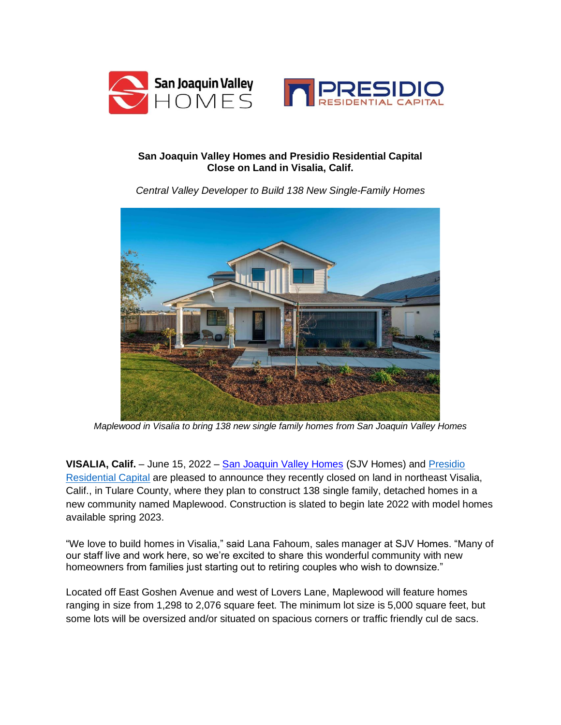



## **San Joaquin Valley Homes and Presidio Residential Capital Close on Land in Visalia, Calif.**

*Central Valley Developer to Build 138 New Single-Family Homes*



*Maplewood in Visalia to bring 138 new single family homes from San Joaquin Valley Homes*

**VISALIA, Calif.** – June 15, 2022 – [San Joaquin Valley Homes](https://sjvhomes.com/) (SJV Homes) and *Presidio* [Residential Capital](https://www.presidioresidential.com/) are pleased to announce they recently closed on land in northeast Visalia, Calif., in Tulare County, where they plan to construct 138 single family, detached homes in a new community named Maplewood. Construction is slated to begin late 2022 with model homes available spring 2023.

"We love to build homes in Visalia," said Lana Fahoum, sales manager at SJV Homes. "Many of our staff live and work here, so we're excited to share this wonderful community with new homeowners from families just starting out to retiring couples who wish to downsize."

Located off East Goshen Avenue and west of Lovers Lane, Maplewood will feature homes ranging in size from 1,298 to 2,076 square feet. The minimum lot size is 5,000 square feet, but some lots will be oversized and/or situated on spacious corners or traffic friendly cul de sacs.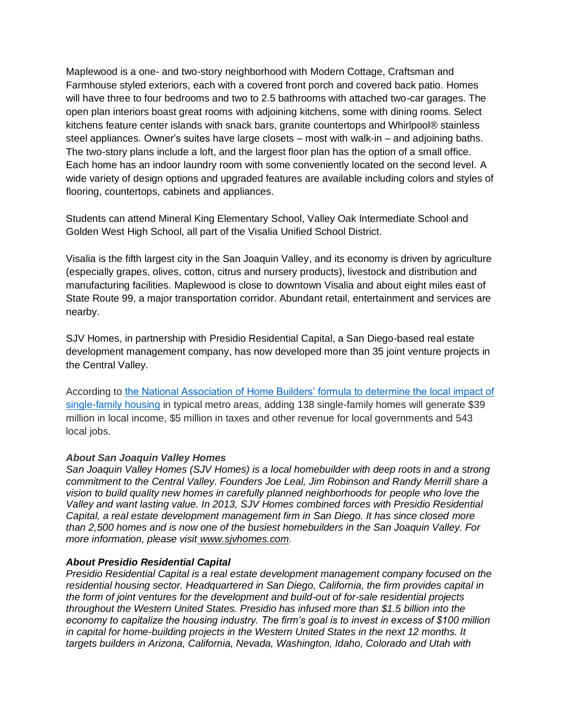Maplewood is a one- and two-story neighborhood with Modern Cottage, Craftsman and Farmhouse styled exteriors, each with a covered front porch and covered back patio. Homes will have three to four bedrooms and two to 2.5 bathrooms with attached two-car garages. The open plan interiors boast great rooms with adjoining kitchens, some with dining rooms. Select kitchens feature center islands with snack bars, granite countertops and Whirlpool® stainless steel appliances. Owner's suites have large closets – most with walk-in – and adjoining baths. The two-story plans include a loft, and the largest floor plan has the option of a small office. Each home has an indoor laundry room with some conveniently located on the second level. A wide variety of design options and upgraded features are available including colors and styles of flooring, countertops, cabinets and appliances.

Students can attend Mineral King Elementary School, Valley Oak Intermediate School and Golden West High School, all part of the Visalia Unified School District.

Visalia is the fifth largest city in the San Joaquin Valley, and its economy is driven by agriculture (especially grapes, olives, cotton, citrus and nursery products), livestock and distribution and manufacturing facilities. Maplewood is close to downtown Visalia and about eight miles east of State Route 99, a major transportation corridor. Abundant retail, entertainment and services are nearby.

SJV Homes, in partnership with Presidio Residential Capital, a San Diego-based real estate development management company, has now developed more than 35 joint venture projects in the Central Valley.

According to the National Association of Home Builders' formula to determine the local impact of [single-family housing](http://eyeonhousing.org/2015/04/nahb-updates-local-impact-of-home-building-numbers/?_ga=1.43410144.432637183.1425087827) in typical metro areas, adding 138 single-family homes will generate \$39 million in local income, \$5 million in taxes and other revenue for local governments and 543 local jobs.

## *About San Joaquin Valley Homes*

*San Joaquin Valley Homes (SJV Homes) is a local homebuilder with deep roots in and a strong commitment to the Central Valley. Founders Joe Leal, Jim Robinson and Randy Merrill share a vision to build quality new homes in carefully planned neighborhoods for people who love the Valley and want lasting value. In 2013, SJV Homes combined forces with Presidio Residential Capital, a real estate development management firm in San Diego. It has since closed more than 2,500 homes and is now one of the busiest homebuilders in the San Joaquin Valley. For more information, please visit [www.sjvhomes.com.](http://www.sjvhomes.com/?utm_source=release&utm_medium=anton-communications&utm_campaign=AC-all-communities)*

## *About Presidio Residential Capital*

*Presidio Residential Capital is a real estate development management company focused on the residential housing sector. Headquartered in San Diego, California, the firm provides capital in the form of joint ventures for the development and build-out of for-sale residential projects throughout the Western United States. Presidio has infused more than \$1.5 billion into the economy to capitalize the housing industry. The firm's goal is to invest in excess of \$100 million in capital for home-building projects in the Western United States in the next 12 months. It targets builders in Arizona, California, Nevada, Washington, Idaho, Colorado and Utah with*